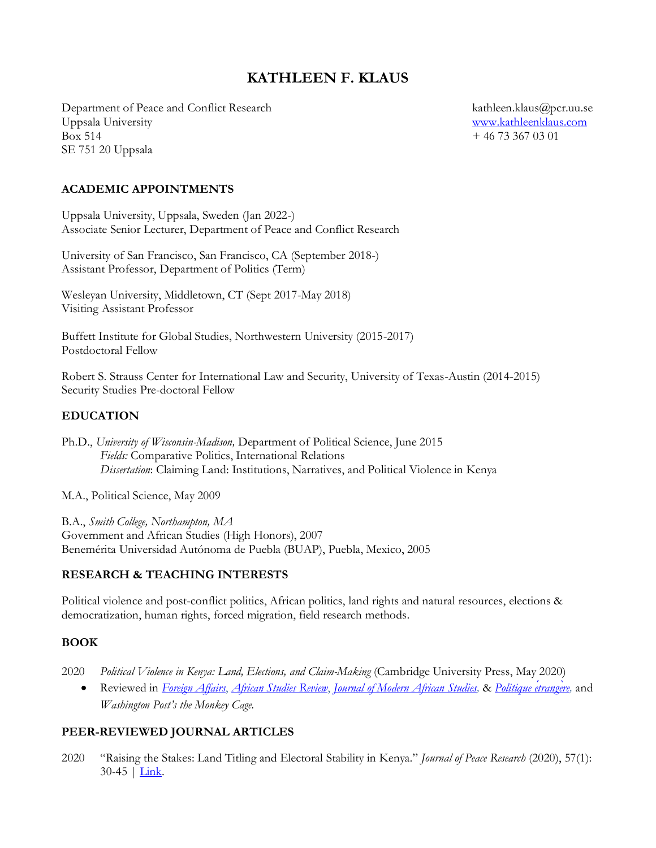# **KATHLEEN F. KLAUS**

Department of Peace and Conflict Research kathleen.klaus@pcr.uu.se Uppsala University [www.kathleenklaus.com](http://www.kathleenklaus.com/)  $B$ ox 514  $+ 46\,73\,367\,03\,01$ SE 751 20 Uppsala

#### **ACADEMIC APPOINTMENTS**

Uppsala University, Uppsala, Sweden (Jan 2022-) Associate Senior Lecturer, Department of Peace and Conflict Research

University of San Francisco, San Francisco, CA (September 2018-) Assistant Professor, Department of Politics (Term)

Wesleyan University, Middletown, CT (Sept 2017-May 2018) Visiting Assistant Professor

Buffett Institute for Global Studies, Northwestern University (2015-2017) Postdoctoral Fellow

Robert S. Strauss Center for International Law and Security, University of Texas-Austin (2014-2015) Security Studies Pre-doctoral Fellow

#### **EDUCATION**

Ph.D., *University of Wisconsin-Madison,* Department of Political Science, June 2015 *Fields:* Comparative Politics, International Relations *Dissertation*: Claiming Land: Institutions, Narratives, and Political Violence in Kenya

M.A., Political Science, May 2009

B.A., *Smith College, Northampton, MA* Government and African Studies (High Honors), 2007 Benemérita Universidad Autónoma de Puebla (BUAP), Puebla, Mexico, 2005

#### **RESEARCH & TEACHING INTERESTS**

Political violence and post-conflict politics, African politics, land rights and natural resources, elections & democratization, human rights, forced migration, field research methods.

#### **BOOK**

2020 *Political Violence in Kenya: Land, Elections, and Claim-Making* (Cambridge University Press, May 2020)

• Reviewed in *[Foreign Affairs](https://www.foreignaffairs.com/reviews/capsule-review/2021-02-16/political-violence-kenya-land-elections-and-claim-making)*, *[African Studies Review](https://www.cambridge.org/core/journals/african-studies-review/article/kathleen-klaus-political-violence-in-kenya-land-elections-and-claimmaking-cambridge-cambridge-university-press-2020-xv-357-pp-maps-illustrations-bibliography-index-12000-cloth-isbn-9781108488501/29B5AF1085B80B5B20DDB6B8C91CDFA1)*, *Journal [of Modern African Studies,](https://www.cambridge.org/core/journals/journal-of-modern-african-studies/article/abs/political-violence-in-kenya-land-elections-and-claimmaking-by-kathleen-klaus-cambridge-cambridge-university-press-2020-pp-372-120-hbk/F0F004EAC9287486A39BFB4F0AEE0688)* & *[Politique](http://politique-etrangere.com/2021/04/06/political-violence-in-kenya/) étrangère,* and *Washington Post's the Monkey Cage.* 

#### **PEER-REVIEWED JOURNAL ARTICLES**

2020 "Raising the Stakes: Land Titling and Electoral Stability in Kenya." *Journal of Peace Research* (2020), 57(1): 30-45 | **Link**.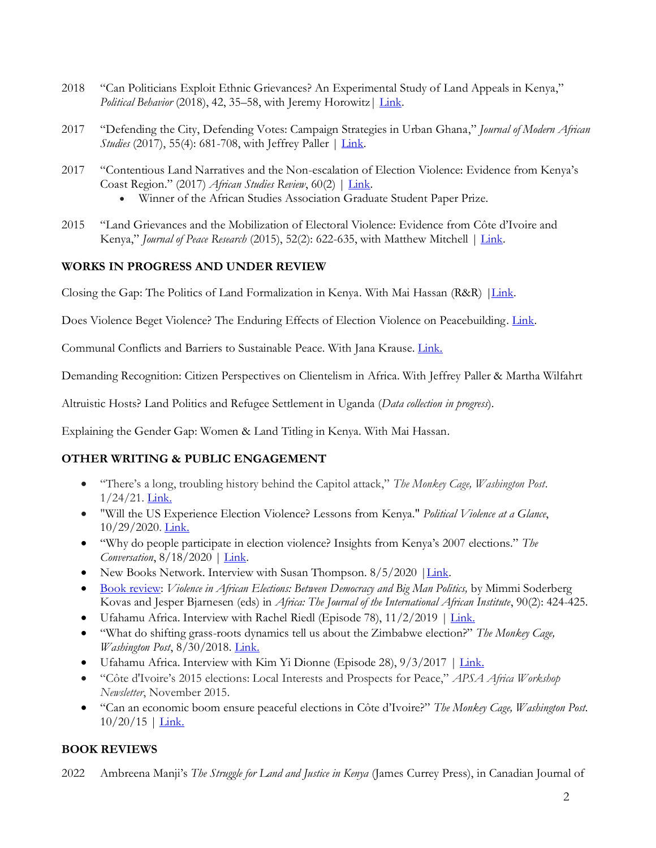- 2018 "Can Politicians Exploit Ethnic Grievances? An Experimental Study of Land Appeals in Kenya," *Political Behavior* (2018), 42, 35–58, with Jeremy Horowitz | [Link.](https://link.springer.com/article/10.1007/s11109-018-9485-1)
- 2017 "Defending the City, Defending Votes: Campaign Strategies in Urban Ghana," *Journal of Modern African Studies* (2017), 55(4): 681-708, with Jeffrey Paller | *Link*.
- 2017 "Contentious Land Narratives and the Non-escalation of Election Violence: Evidence from Kenya's Coast Region." (2017) *African Studies Review*, 60(2) | [Link.](https://www.cambridge.org/core/journals/african-studies-review/article/contentious-land-narratives-and-the-nonescalation-of-election-violence-evidence-from-kenyas-coast-region/91227FCE046257BEA88C45270592684C) 
	- Winner of the African Studies Association Graduate Student Paper Prize.
- 2015 "Land Grievances and the Mobilization of Electoral Violence: Evidence from Côte d'Ivoire and Kenya," *Journal of Peace Research* (2015), 52(2): 622-635, with Matthew Mitchell [| Link.](https://journals.sagepub.com/doi/abs/10.1177/0022343315580145)

### **WORKS IN PROGRESS AND UNDER REVIEW**

Closing the Gap: The Politics of Land Formalization in Kenya. With Mai Hassan (R&R) *|*[Link.](http://sites.lsa.umich.edu/maihassan/wp-content/uploads/sites/412/2020/12/prgap.pdf)

Does Violence Beget Violence? The Enduring Effects of Election Violence on Peacebuilding. [Link.](https://www.dropbox.com/s/o89nilv453z1e20/Klaus_EffectsOfViolence_Dec20.pdf?dl=0)

Communal Conflicts and Barriers to Sustainable Peace. With Jana Krause. [Link.](https://www.sv.uio.no/isv/english/research/projects/resilience-building/index.html)

Demanding Recognition: Citizen Perspectives on Clientelism in Africa. With Jeffrey Paller & Martha Wilfahrt

Altruistic Hosts? Land Politics and Refugee Settlement in Uganda (*Data collection in progress*).

Explaining the Gender Gap: Women & Land Titling in Kenya. With Mai Hassan.

### **OTHER WRITING & PUBLIC ENGAGEMENT**

- "There's a long, troubling history behind the Capitol attack," *The Monkey Cage, Washington Post*.  $1/24/21.$  [Link.](https://www.washingtonpost.com/politics/2021/01/24/theres-long-troubling-history-behind-capitol-attack/)
- "Will the US Experience Election Violence? Lessons from Kenya." *Political Violence at a Glance*, 10/29/2020. [Link.](https://politicalviolenceataglance.org/2020/10/29/will-the-us-experience-election-violence-lessons-from-kenya/)
- "Why do people participate in election violence? Insights from Kenya's 2007 elections." *The Conversation*, 8/18/2020 | [Link.](https://theconversation.com/why-do-people-participate-in-election-violence-insights-from-kenyas-2007-elections-143016)
- New Books Network. Interview with Susan Thompson. 8/5/2020 | Link.
- [Book review:](https://muse.jhu.edu/article/751855) *Violence in African Elections: Between Democracy and Big Man Politics,* by Mimmi Soderberg Kovas and Jesper Bjarnesen (eds) in *Africa: The Journal of the International African Institute*, 90(2): 424-425.
- Ufahamu Africa. Interview with Rachel Riedl (Episode 78), 11/2/2019 | [Link.](https://ufahamuafrica.com/2019/11/02/ep78-a-conversation-with-kathleen-klaus-on-land-and-politics-in-east-africa-and-beyond/)
- "What do shifting grass-roots dynamics tell us about the Zimbabwe election?" *The Monkey Cage, Washington Post*, 8/30/2018. [Link.](https://www.washingtonpost.com/news/monkey-cage/wp/2018/08/30/what-do-shifting-grass-roots-dynamics-tell-us-about-the-zimbabwe-election/)
- Ufahamu Africa. Interview with Kim Yi Dionne (Episode 28),  $9/3/2017$  | [Link.](https://ufahamuafrica.com/2017/09/03/ep-28-a-conversation-with-dr-kathleen-klaus-on-kenyas-annulled-elections-and-more/)
- "Côte d'Ivoire's 2015 elections: Local Interests and Prospects for Peace," *APSA Africa Workshop Newsletter*, November 2015.
- "Can an economic boom ensure peaceful elections in Côte d'Ivoire?" *The Monkey Cage, Washington Post.*  $10/20/15$  | [Link.](https://www.washingtonpost.com/news/monkey-cage/wp/2015/10/20/can-an-economic-boom-ensure-peaceful-elections-in-cote-divoire/)

### **BOOK REVIEWS**

2022 Ambreena Manji's *The Struggle for Land and Justice in Kenya* (James Currey Press), in Canadian Journal of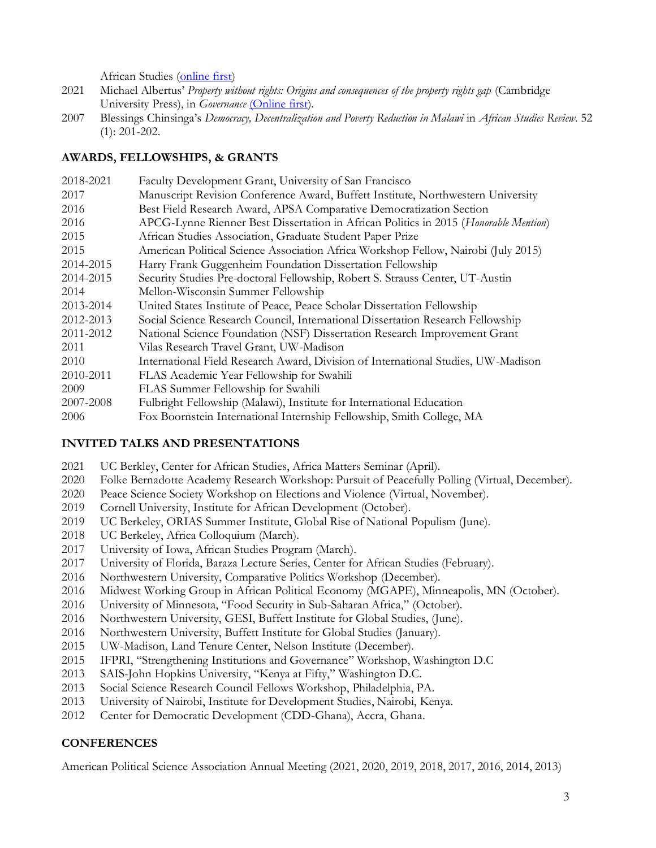African Studies [\(online first\)](https://www.tandfonline.com/doi/full/10.1080/00083968.2021.2016774)

- 2021 Michael Albertus' *Property without rights: Origins and consequences of the property rights gap* (Cambridge University Press), in *Governance* [\(Online first\)](http://doi.org/10.1111/gove.12661).
- 2007 Blessings Chinsinga's *Democracy, Decentralization and Poverty Reduction in Malawi* in *African Studies Review*. 52 (1): 201-202.

#### **AWARDS, FELLOWSHIPS, & GRANTS**

| 2018-2021 | Faculty Development Grant, University of San Francisco                               |
|-----------|--------------------------------------------------------------------------------------|
| 2017      | Manuscript Revision Conference Award, Buffett Institute, Northwestern University     |
| 2016      | Best Field Research Award, APSA Comparative Democratization Section                  |
| 2016      | APCG-Lynne Rienner Best Dissertation in African Politics in 2015 (Honorable Mention) |
| 2015      | African Studies Association, Graduate Student Paper Prize                            |
| 2015      | American Political Science Association Africa Workshop Fellow, Nairobi (July 2015)   |
| 2014-2015 | Harry Frank Guggenheim Foundation Dissertation Fellowship                            |
| 2014-2015 | Security Studies Pre-doctoral Fellowship, Robert S. Strauss Center, UT-Austin        |
| 2014      | Mellon-Wisconsin Summer Fellowship                                                   |
| 2013-2014 | United States Institute of Peace, Peace Scholar Dissertation Fellowship              |
| 2012-2013 | Social Science Research Council, International Dissertation Research Fellowship      |
| 2011-2012 | National Science Foundation (NSF) Dissertation Research Improvement Grant            |
| 2011      | Vilas Research Travel Grant, UW-Madison                                              |
| 2010      | International Field Research Award, Division of International Studies, UW-Madison    |
| 2010-2011 | FLAS Academic Year Fellowship for Swahili                                            |
| 2009      | FLAS Summer Fellowship for Swahili                                                   |
| 2007-2008 | Fulbright Fellowship (Malawi), Institute for International Education                 |
| 2006      | Fox Boornstein International Internship Fellowship, Smith College, MA                |

#### **INVITED TALKS AND PRESENTATIONS**

- 2021 UC Berkley, Center for African Studies, Africa Matters Seminar (April).
- 2020 Folke Bernadotte Academy Research Workshop: Pursuit of Peacefully Polling (Virtual, December).
- 2020 Peace Science Society Workshop on Elections and Violence (Virtual, November).
- 2019 Cornell University, Institute for African Development (October).
- 2019 UC Berkeley, ORIAS Summer Institute, Global Rise of National Populism (June).
- 2018 UC Berkeley, Africa Colloquium (March).
- 2017 University of Iowa, African Studies Program (March).
- 2017 University of Florida, Baraza Lecture Series, Center for African Studies (February).
- 2016 Northwestern University, Comparative Politics Workshop (December).
- 2016 Midwest Working Group in African Political Economy (MGAPE), Minneapolis, MN (October).
- 2016 University of Minnesota, "Food Security in Sub-Saharan Africa," (October).
- 2016 Northwestern University, GESI, Buffett Institute for Global Studies, (June).
- 2016 Northwestern University, Buffett Institute for Global Studies (January).
- 2015 UW-Madison, Land Tenure Center, Nelson Institute (December).
- 2015 IFPRI, "Strengthening Institutions and Governance" Workshop, Washington D.C
- 2013 SAIS-John Hopkins University, "Kenya at Fifty," Washington D.C.
- 2013 Social Science Research Council Fellows Workshop, Philadelphia, PA.
- 2013 University of Nairobi, Institute for Development Studies, Nairobi, Kenya.
- 2012 Center for Democratic Development (CDD-Ghana), Accra, Ghana.

### **CONFERENCES**

American Political Science Association Annual Meeting (2021, 2020, 2019, 2018, 2017, 2016, 2014, 2013)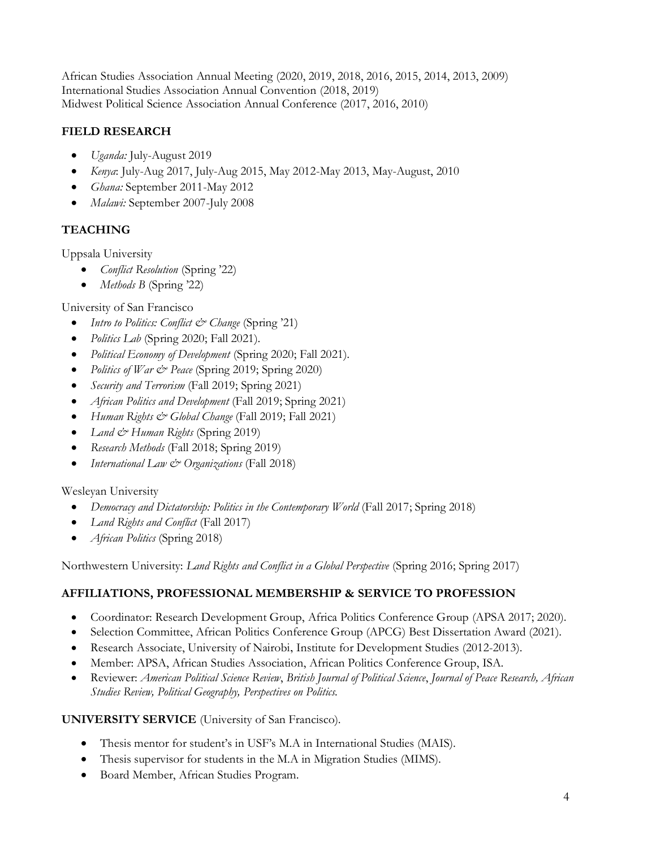African Studies Association Annual Meeting (2020, 2019, 2018, 2016, 2015, 2014, 2013, 2009) International Studies Association Annual Convention (2018, 2019) Midwest Political Science Association Annual Conference (2017, 2016, 2010)

# **FIELD RESEARCH**

- *Uganda:* July-August 2019
- *Kenya*: July-Aug 2017, July-Aug 2015, May 2012-May 2013, May-August, 2010
- *Ghana:* September 2011-May 2012
- *Malawi:* September 2007-July 2008

# **TEACHING**

Uppsala University

- *Conflict Resolution* (Spring '22)
- *Methods B* (Spring '22)

University of San Francisco

- *Intro to Politics: Conflict & Change* (Spring '21)
- *Politics Lab* (Spring 2020; Fall 2021).
- *Political Economy of Development* (Spring 2020; Fall 2021).
- *Politics of War & Peace* (Spring 2019; Spring 2020)
- *Security and Terrorism* (Fall 2019; Spring 2021)
- *African Politics and Development* (Fall 2019; Spring 2021)
- *Human Rights & Global Change* (Fall 2019; Fall 2021)
- *Land & Human Rights* (Spring 2019)
- *Research Methods* (Fall 2018; Spring 2019)
- *International Law & Organizations* (Fall 2018)

# Wesleyan University

- *Democracy and Dictatorship: Politics in the Contemporary World* (Fall 2017; Spring 2018)
- *Land Rights and Conflict* (Fall 2017)
- *African Politics* (Spring 2018)

Northwestern University: *Land Rights and Conflict in a Global Perspective* (Spring 2016; Spring 2017)

# **AFFILIATIONS, PROFESSIONAL MEMBERSHIP & SERVICE TO PROFESSION**

- Coordinator: Research Development Group, Africa Politics Conference Group (APSA 2017; 2020).
- Selection Committee, African Politics Conference Group (APCG) Best Dissertation Award (2021).
- Research Associate, University of Nairobi, Institute for Development Studies (2012-2013).
- Member: APSA, African Studies Association, African Politics Conference Group, ISA.
- Reviewer: *American Political Science Review*, *British Journal of Political Science*, *Journal of Peace Research, African Studies Review, Political Geography, Perspectives on Politics.*

# **UNIVERSITY SERVICE** (University of San Francisco).

- Thesis mentor for student's in USF's M.A in International Studies (MAIS).
- Thesis supervisor for students in the M.A in Migration Studies (MIMS).
- Board Member, African Studies Program.